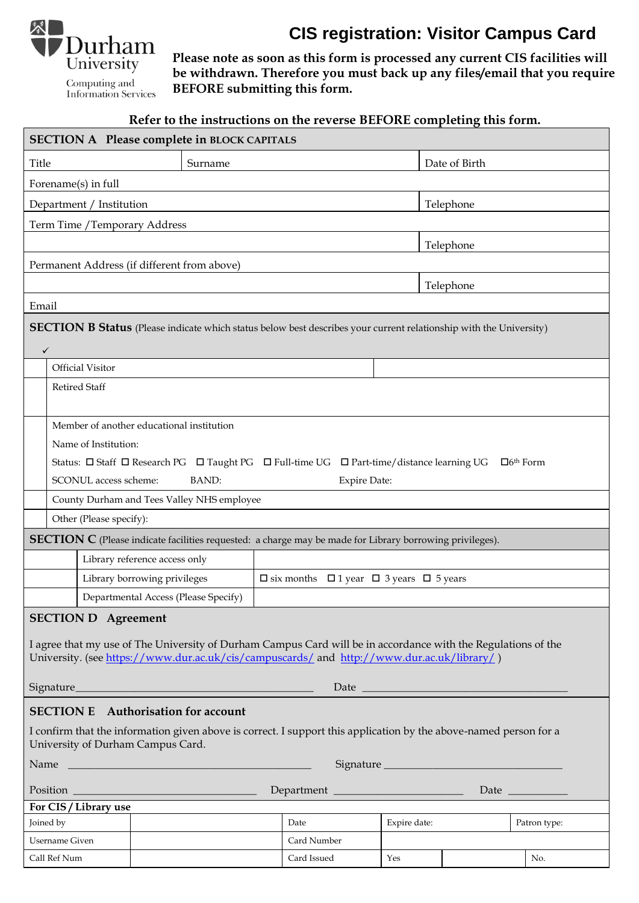

**Computing and**<br>Information Services

**CIS registration: Visitor Campus Card**

**Please note as soon as this form is processed any current CIS facilities will be withdrawn. Therefore you must back up any files/email that you require BEFORE submitting this form.**

# **Refer to the instructions on the reverse BEFORE completing this form.**

| <b>SECTION A Please complete in BLOCK CAPITALS</b>                                                                                                                                                                                        |         |             |              |               |              |
|-------------------------------------------------------------------------------------------------------------------------------------------------------------------------------------------------------------------------------------------|---------|-------------|--------------|---------------|--------------|
| Title                                                                                                                                                                                                                                     | Surname |             |              | Date of Birth |              |
| Forename(s) in full                                                                                                                                                                                                                       |         |             |              |               |              |
| Department / Institution                                                                                                                                                                                                                  |         |             |              | Telephone     |              |
| Term Time / Temporary Address                                                                                                                                                                                                             |         |             |              |               |              |
|                                                                                                                                                                                                                                           |         |             |              | Telephone     |              |
| Permanent Address (if different from above)                                                                                                                                                                                               |         |             |              |               |              |
|                                                                                                                                                                                                                                           |         |             | Telephone    |               |              |
| Email                                                                                                                                                                                                                                     |         |             |              |               |              |
| <b>SECTION B Status</b> (Please indicate which status below best describes your current relationship with the University)<br>$\checkmark$                                                                                                 |         |             |              |               |              |
| <b>Official Visitor</b>                                                                                                                                                                                                                   |         |             |              |               |              |
| <b>Retired Staff</b>                                                                                                                                                                                                                      |         |             |              |               |              |
| Member of another educational institution                                                                                                                                                                                                 |         |             |              |               |              |
| Name of Institution:                                                                                                                                                                                                                      |         |             |              |               |              |
| Status: □ Staff □ Research PG □ Taught PG □ Full-time UG □ Part-time/distance learning UG<br>$\Box$ 6 <sup>th</sup> Form                                                                                                                  |         |             |              |               |              |
| <b>BAND:</b><br>SCONUL access scheme:<br><b>Expire Date:</b>                                                                                                                                                                              |         |             |              |               |              |
| County Durham and Tees Valley NHS employee                                                                                                                                                                                                |         |             |              |               |              |
| Other (Please specify):                                                                                                                                                                                                                   |         |             |              |               |              |
| <b>SECTION C</b> (Please indicate facilities requested: a charge may be made for Library borrowing privileges).                                                                                                                           |         |             |              |               |              |
| Library reference access only                                                                                                                                                                                                             |         |             |              |               |              |
| Library borrowing privileges<br>$\square$ six months $\square$ 1 year $\square$ 3 years $\square$ 5 years                                                                                                                                 |         |             |              |               |              |
| Departmental Access (Please Specify)                                                                                                                                                                                                      |         |             |              |               |              |
| <b>SECTION D</b> Agreement<br>I agree that my use of The University of Durham Campus Card will be in accordance with the Regulations of the<br>University. (see https://www.dur.ac.uk/cis/campuscards/ and http://www.dur.ac.uk/library/) |         |             |              |               |              |
| <b>SECTION E</b> Authorisation for account                                                                                                                                                                                                |         |             |              |               |              |
| I confirm that the information given above is correct. I support this application by the above-named person for a<br>University of Durham Campus Card.                                                                                    |         |             |              |               |              |
|                                                                                                                                                                                                                                           |         |             |              |               |              |
|                                                                                                                                                                                                                                           |         |             |              |               |              |
| For CIS / Library use                                                                                                                                                                                                                     |         |             |              |               |              |
| Joined by                                                                                                                                                                                                                                 |         | Date        | Expire date: |               | Patron type: |
| <b>Username Given</b>                                                                                                                                                                                                                     |         | Card Number |              |               |              |
| Call Ref Num                                                                                                                                                                                                                              |         | Card Issued | Yes          |               | No.          |